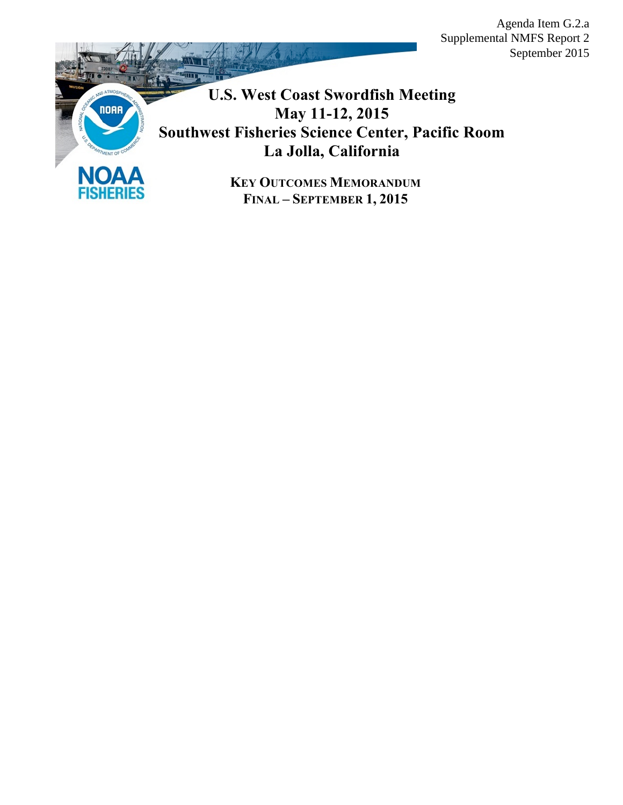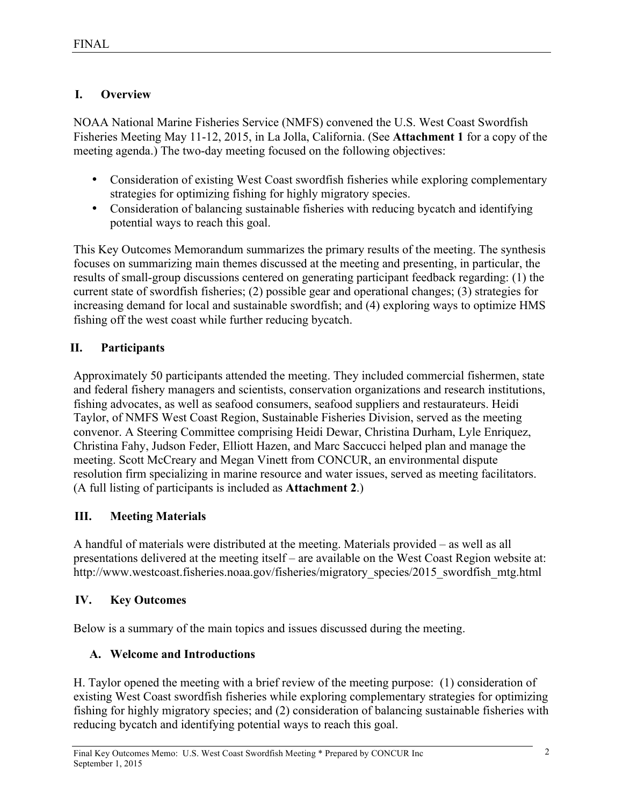## **I. Overview**

NOAA National Marine Fisheries Service (NMFS) convened the U.S. West Coast Swordfish Fisheries Meeting May 11-12, 2015, in La Jolla, California. (See **Attachment 1** for a copy of the meeting agenda.) The two-day meeting focused on the following objectives:

- Consideration of existing West Coast swordfish fisheries while exploring complementary strategies for optimizing fishing for highly migratory species.
- Consideration of balancing sustainable fisheries with reducing bycatch and identifying potential ways to reach this goal.

This Key Outcomes Memorandum summarizes the primary results of the meeting. The synthesis focuses on summarizing main themes discussed at the meeting and presenting, in particular, the results of small-group discussions centered on generating participant feedback regarding: (1) the current state of swordfish fisheries; (2) possible gear and operational changes; (3) strategies for increasing demand for local and sustainable swordfish; and (4) exploring ways to optimize HMS fishing off the west coast while further reducing bycatch.

# **II. Participants**

Approximately 50 participants attended the meeting. They included commercial fishermen, state and federal fishery managers and scientists, conservation organizations and research institutions, fishing advocates, as well as seafood consumers, seafood suppliers and restaurateurs. Heidi Taylor, of NMFS West Coast Region, Sustainable Fisheries Division, served as the meeting convenor. A Steering Committee comprising Heidi Dewar, Christina Durham, Lyle Enriquez, Christina Fahy, Judson Feder, Elliott Hazen, and Marc Saccucci helped plan and manage the meeting. Scott McCreary and Megan Vinett from CONCUR, an environmental dispute resolution firm specializing in marine resource and water issues, served as meeting facilitators. (A full listing of participants is included as **Attachment 2**.)

# **III. Meeting Materials**

A handful of materials were distributed at the meeting. Materials provided – as well as all presentations delivered at the meeting itself – are available on the West Coast Region website at: http://www.westcoast.fisheries.noaa.gov/fisheries/migratory\_species/2015\_swordfish\_mtg.html

# **IV. Key Outcomes**

Below is a summary of the main topics and issues discussed during the meeting.

# **A. Welcome and Introductions**

H. Taylor opened the meeting with a brief review of the meeting purpose: (1) consideration of existing West Coast swordfish fisheries while exploring complementary strategies for optimizing fishing for highly migratory species; and (2) consideration of balancing sustainable fisheries with reducing bycatch and identifying potential ways to reach this goal.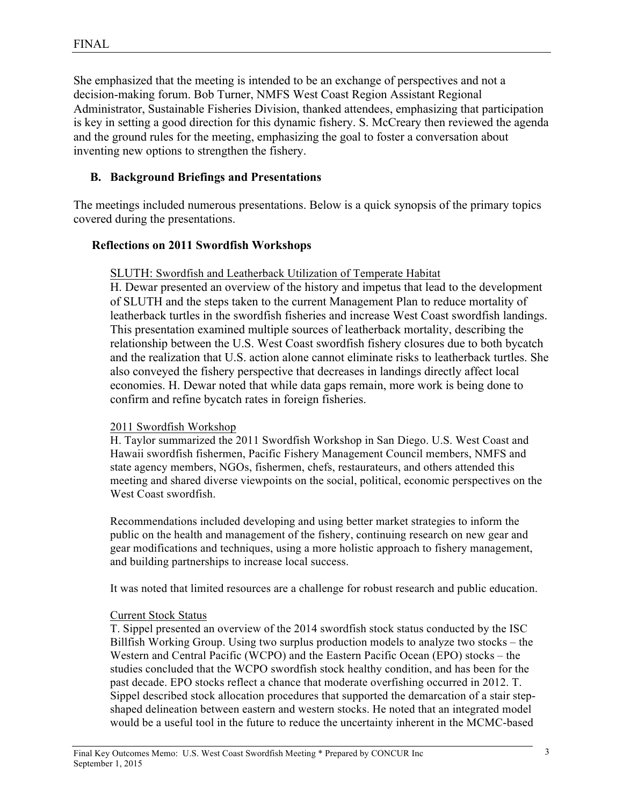She emphasized that the meeting is intended to be an exchange of perspectives and not a decision-making forum. Bob Turner, NMFS West Coast Region Assistant Regional Administrator, Sustainable Fisheries Division, thanked attendees, emphasizing that participation is key in setting a good direction for this dynamic fishery. S. McCreary then reviewed the agenda and the ground rules for the meeting, emphasizing the goal to foster a conversation about inventing new options to strengthen the fishery.

## **B. Background Briefings and Presentations**

The meetings included numerous presentations. Below is a quick synopsis of the primary topics covered during the presentations.

## **Reflections on 2011 Swordfish Workshops**

#### SLUTH: Swordfish and Leatherback Utilization of Temperate Habitat

H. Dewar presented an overview of the history and impetus that lead to the development of SLUTH and the steps taken to the current Management Plan to reduce mortality of leatherback turtles in the swordfish fisheries and increase West Coast swordfish landings. This presentation examined multiple sources of leatherback mortality, describing the relationship between the U.S. West Coast swordfish fishery closures due to both bycatch and the realization that U.S. action alone cannot eliminate risks to leatherback turtles. She also conveyed the fishery perspective that decreases in landings directly affect local economies. H. Dewar noted that while data gaps remain, more work is being done to confirm and refine bycatch rates in foreign fisheries.

#### 2011 Swordfish Workshop

H. Taylor summarized the 2011 Swordfish Workshop in San Diego. U.S. West Coast and Hawaii swordfish fishermen, Pacific Fishery Management Council members, NMFS and state agency members, NGOs, fishermen, chefs, restaurateurs, and others attended this meeting and shared diverse viewpoints on the social, political, economic perspectives on the West Coast swordfish.

Recommendations included developing and using better market strategies to inform the public on the health and management of the fishery, continuing research on new gear and gear modifications and techniques, using a more holistic approach to fishery management, and building partnerships to increase local success.

It was noted that limited resources are a challenge for robust research and public education.

## Current Stock Status

T. Sippel presented an overview of the 2014 swordfish stock status conducted by the ISC Billfish Working Group. Using two surplus production models to analyze two stocks – the Western and Central Pacific (WCPO) and the Eastern Pacific Ocean (EPO) stocks – the studies concluded that the WCPO swordfish stock healthy condition, and has been for the past decade. EPO stocks reflect a chance that moderate overfishing occurred in 2012. T. Sippel described stock allocation procedures that supported the demarcation of a stair stepshaped delineation between eastern and western stocks. He noted that an integrated model would be a useful tool in the future to reduce the uncertainty inherent in the MCMC-based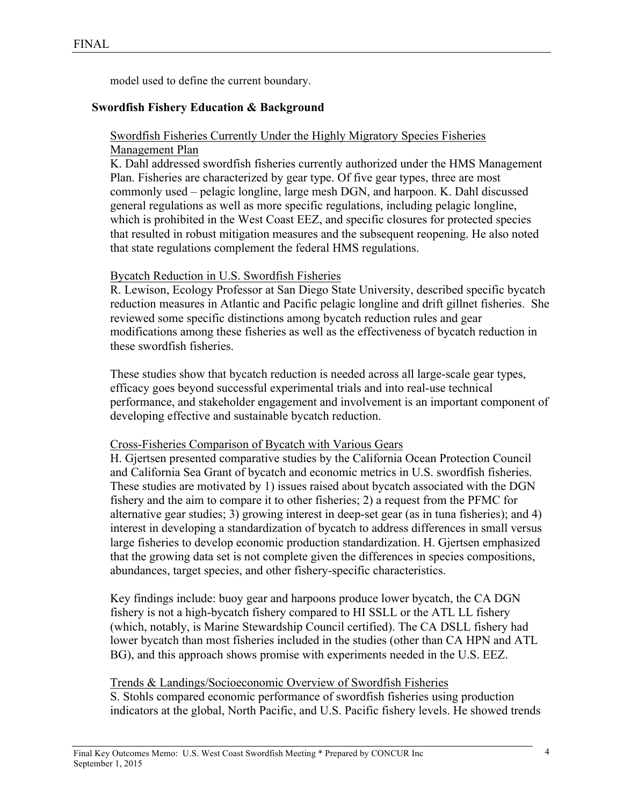model used to define the current boundary.

#### **Swordfish Fishery Education & Background**

Swordfish Fisheries Currently Under the Highly Migratory Species Fisheries Management Plan

K. Dahl addressed swordfish fisheries currently authorized under the HMS Management Plan. Fisheries are characterized by gear type. Of five gear types, three are most commonly used – pelagic longline, large mesh DGN, and harpoon. K. Dahl discussed general regulations as well as more specific regulations, including pelagic longline, which is prohibited in the West Coast EEZ, and specific closures for protected species that resulted in robust mitigation measures and the subsequent reopening. He also noted that state regulations complement the federal HMS regulations.

#### Bycatch Reduction in U.S. Swordfish Fisheries

R. Lewison, Ecology Professor at San Diego State University, described specific bycatch reduction measures in Atlantic and Pacific pelagic longline and drift gillnet fisheries. She reviewed some specific distinctions among bycatch reduction rules and gear modifications among these fisheries as well as the effectiveness of bycatch reduction in these swordfish fisheries.

These studies show that bycatch reduction is needed across all large-scale gear types, efficacy goes beyond successful experimental trials and into real-use technical performance, and stakeholder engagement and involvement is an important component of developing effective and sustainable bycatch reduction.

#### Cross-Fisheries Comparison of Bycatch with Various Gears

H. Gjertsen presented comparative studies by the California Ocean Protection Council and California Sea Grant of bycatch and economic metrics in U.S. swordfish fisheries. These studies are motivated by 1) issues raised about bycatch associated with the DGN fishery and the aim to compare it to other fisheries; 2) a request from the PFMC for alternative gear studies; 3) growing interest in deep-set gear (as in tuna fisheries); and 4) interest in developing a standardization of bycatch to address differences in small versus large fisheries to develop economic production standardization. H. Gjertsen emphasized that the growing data set is not complete given the differences in species compositions, abundances, target species, and other fishery-specific characteristics.

Key findings include: buoy gear and harpoons produce lower bycatch, the CA DGN fishery is not a high-bycatch fishery compared to HI SSLL or the ATL LL fishery (which, notably, is Marine Stewardship Council certified). The CA DSLL fishery had lower bycatch than most fisheries included in the studies (other than CA HPN and ATL BG), and this approach shows promise with experiments needed in the U.S. EEZ.

#### Trends & Landings/Socioeconomic Overview of Swordfish Fisheries

S. Stohls compared economic performance of swordfish fisheries using production indicators at the global, North Pacific, and U.S. Pacific fishery levels. He showed trends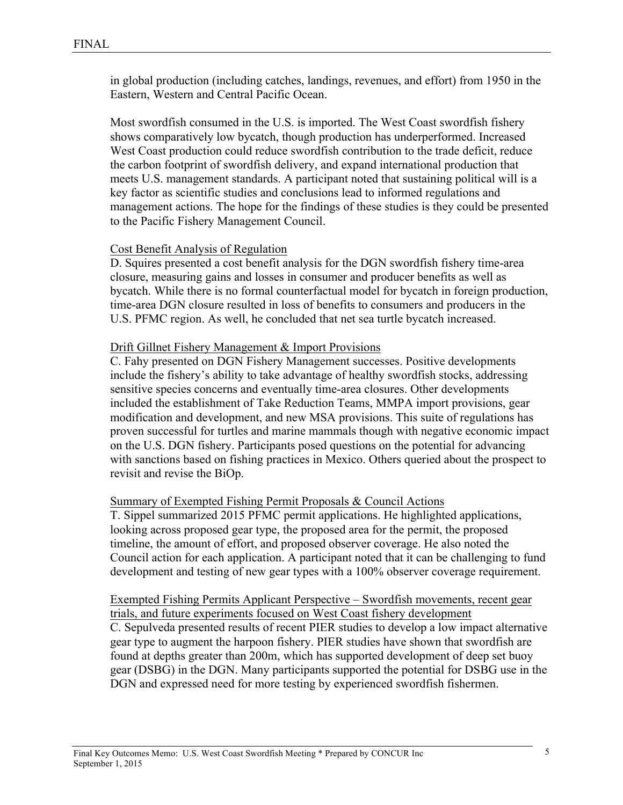in global production (including catches, landings, revenues, and effort) from 1950 in the Eastern, Western and Central Pacific Ocean.

Most swordfish consumed in the U.S. is imported. The West Coast swordfish fishery shows comparatively low bycatch, though production has underperformed. Increased West Coast production could reduce swordfish contribution to the trade deficit, reduce the carbon footprint of swordfish delivery, and expand international production that meets U.S. management standards. A participant noted that sustaining political will is a key factor as scientific studies and conclusions lead to informed regulations and management actions. The hope for the findings of these studies is they could be presented to the Pacific Fishery Management Council.

#### Cost Benefit Analysis of Regulation

D. Squires presented a cost benefit analysis for the DGN swordfish fishery time-area closure, measuring gains and losses in consumer and producer benefits as well as bycatch. While there is no formal counterfactual model for bycatch in foreign production, time-area DGN closure resulted in loss of benefits to consumers and producers in the U.S. PFMC region. As well, he concluded that net sea turtle bycatch increased.

#### Drift Gillnet Fishery Management & Import Provisions

C. Fahy presented on DGN Fishery Management successes. Positive developments include the fishery's ability to take advantage of healthy swordfish stocks, addressing sensitive species concerns and eventually time-area closures. Other developments included the establishment of Take Reduction Teams, MMPA import provisions, gear modification and development, and new MSA provisions. This suite of regulations has proven successful for turtles and marine mammals though with negative economic impact on the U.S. DGN fishery. Participants posed questions on the potential for advancing with sanctions based on fishing practices in Mexico. Others queried about the prospect to revisit and revise the BiOp.

#### Summary of Exempted Fishing Permit Proposals & Council Actions

T. Sippel summarized 2015 PFMC permit applications. He highlighted applications, looking across proposed gear type, the proposed area for the permit, the proposed timeline, the amount of effort, and proposed observer coverage. He also noted the Council action for each application. A participant noted that it can be challenging to fund development and testing of new gear types with a 100% observer coverage requirement.

Exempted Fishing Permits Applicant Perspective – Swordfish movements, recent gear trials, and future experiments focused on West Coast fishery development C. Sepulveda presented results of recent PIER studies to develop a low impact alternative gear type to augment the harpoon fishery. PIER studies have shown that swordfish are found at depths greater than 200m, which has supported development of deep set buoy gear (DSBG) in the DGN. Many participants supported the potential for DSBG use in the DGN and expressed need for more testing by experienced swordfish fishermen.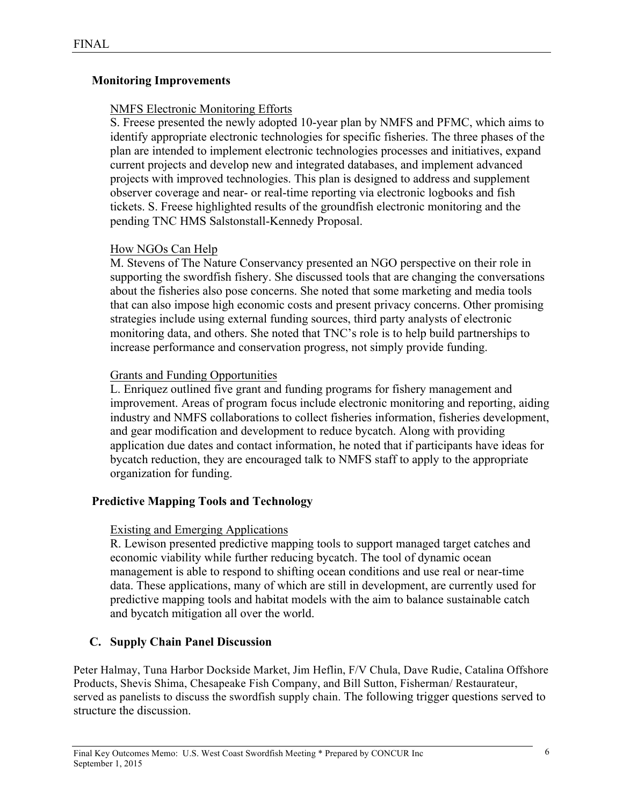## **Monitoring Improvements**

## NMFS Electronic Monitoring Efforts

S. Freese presented the newly adopted 10-year plan by NMFS and PFMC, which aims to identify appropriate electronic technologies for specific fisheries. The three phases of the plan are intended to implement electronic technologies processes and initiatives, expand current projects and develop new and integrated databases, and implement advanced projects with improved technologies. This plan is designed to address and supplement observer coverage and near- or real-time reporting via electronic logbooks and fish tickets. S. Freese highlighted results of the groundfish electronic monitoring and the pending TNC HMS Salstonstall-Kennedy Proposal.

## How NGOs Can Help

M. Stevens of The Nature Conservancy presented an NGO perspective on their role in supporting the swordfish fishery. She discussed tools that are changing the conversations about the fisheries also pose concerns. She noted that some marketing and media tools that can also impose high economic costs and present privacy concerns. Other promising strategies include using external funding sources, third party analysts of electronic monitoring data, and others. She noted that TNC's role is to help build partnerships to increase performance and conservation progress, not simply provide funding.

## Grants and Funding Opportunities

L. Enriquez outlined five grant and funding programs for fishery management and improvement. Areas of program focus include electronic monitoring and reporting, aiding industry and NMFS collaborations to collect fisheries information, fisheries development, and gear modification and development to reduce bycatch. Along with providing application due dates and contact information, he noted that if participants have ideas for bycatch reduction, they are encouraged talk to NMFS staff to apply to the appropriate organization for funding.

## **Predictive Mapping Tools and Technology**

## Existing and Emerging Applications

R. Lewison presented predictive mapping tools to support managed target catches and economic viability while further reducing bycatch. The tool of dynamic ocean management is able to respond to shifting ocean conditions and use real or near-time data. These applications, many of which are still in development, are currently used for predictive mapping tools and habitat models with the aim to balance sustainable catch and bycatch mitigation all over the world.

## **C. Supply Chain Panel Discussion**

Peter Halmay, Tuna Harbor Dockside Market, Jim Heflin, F/V Chula, Dave Rudie, Catalina Offshore Products, Shevis Shima, Chesapeake Fish Company, and Bill Sutton, Fisherman/ Restaurateur, served as panelists to discuss the swordfish supply chain. The following trigger questions served to structure the discussion.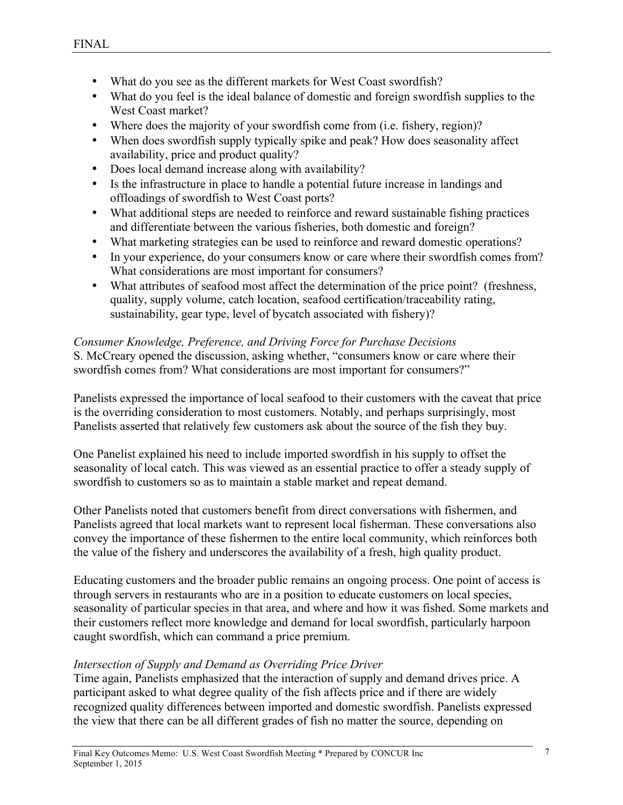- What do you see as the different markets for West Coast swordfish?
- What do you feel is the ideal balance of domestic and foreign swordfish supplies to the West Coast market?
- Where does the majority of your swordfish come from (i.e. fishery, region)?
- When does swordfish supply typically spike and peak? How does seasonality affect availability, price and product quality?
- Does local demand increase along with availability?
- Is the infrastructure in place to handle a potential future increase in landings and offloadings of swordfish to West Coast ports?
- What additional steps are needed to reinforce and reward sustainable fishing practices and differentiate between the various fisheries, both domestic and foreign?
- What marketing strategies can be used to reinforce and reward domestic operations?
- In your experience, do your consumers know or care where their swordfish comes from? What considerations are most important for consumers?
- What attributes of seafood most affect the determination of the price point? (freshness, quality, supply volume, catch location, seafood certification/traceability rating, sustainability, gear type, level of bycatch associated with fishery)?

#### *Consumer Knowledge, Preference, and Driving Force for Purchase Decisions*

S. McCreary opened the discussion, asking whether, "consumers know or care where their swordfish comes from? What considerations are most important for consumers?"

Panelists expressed the importance of local seafood to their customers with the caveat that price is the overriding consideration to most customers. Notably, and perhaps surprisingly, most Panelists asserted that relatively few customers ask about the source of the fish they buy.

One Panelist explained his need to include imported swordfish in his supply to offset the seasonality of local catch. This was viewed as an essential practice to offer a steady supply of swordfish to customers so as to maintain a stable market and repeat demand.

Other Panelists noted that customers benefit from direct conversations with fishermen, and Panelists agreed that local markets want to represent local fisherman. These conversations also convey the importance of these fishermen to the entire local community, which reinforces both the value of the fishery and underscores the availability of a fresh, high quality product.

Educating customers and the broader public remains an ongoing process. One point of access is through servers in restaurants who are in a position to educate customers on local species, seasonality of particular species in that area, and where and how it was fished. Some markets and their customers reflect more knowledge and demand for local swordfish, particularly harpoon caught swordfish, which can command a price premium.

## *Intersection of Supply and Demand as Overriding Price Driver*

Time again, Panelists emphasized that the interaction of supply and demand drives price. A participant asked to what degree quality of the fish affects price and if there are widely recognized quality differences between imported and domestic swordfish. Panelists expressed the view that there can be all different grades of fish no matter the source, depending on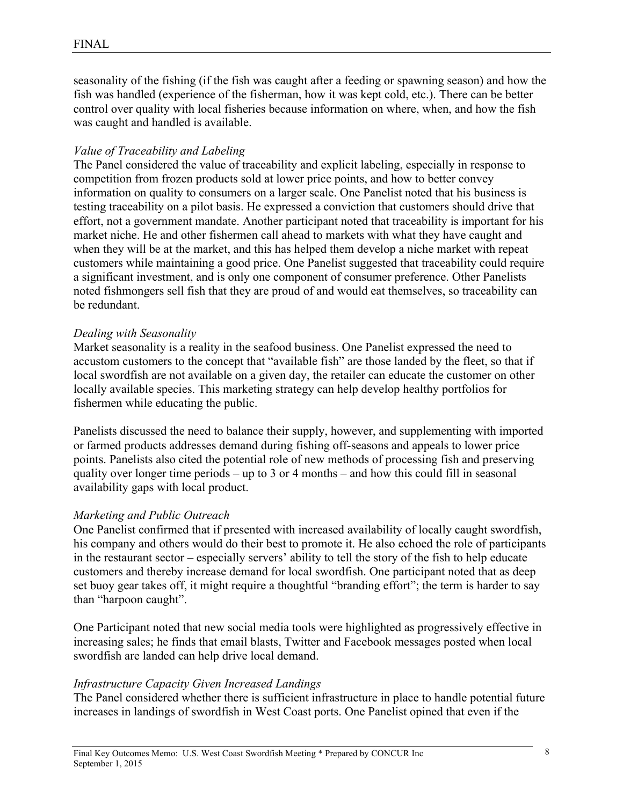seasonality of the fishing (if the fish was caught after a feeding or spawning season) and how the fish was handled (experience of the fisherman, how it was kept cold, etc.). There can be better control over quality with local fisheries because information on where, when, and how the fish was caught and handled is available.

#### *Value of Traceability and Labeling*

The Panel considered the value of traceability and explicit labeling, especially in response to competition from frozen products sold at lower price points, and how to better convey information on quality to consumers on a larger scale. One Panelist noted that his business is testing traceability on a pilot basis. He expressed a conviction that customers should drive that effort, not a government mandate. Another participant noted that traceability is important for his market niche. He and other fishermen call ahead to markets with what they have caught and when they will be at the market, and this has helped them develop a niche market with repeat customers while maintaining a good price. One Panelist suggested that traceability could require a significant investment, and is only one component of consumer preference. Other Panelists noted fishmongers sell fish that they are proud of and would eat themselves, so traceability can be redundant.

#### *Dealing with Seasonality*

Market seasonality is a reality in the seafood business. One Panelist expressed the need to accustom customers to the concept that "available fish" are those landed by the fleet, so that if local swordfish are not available on a given day, the retailer can educate the customer on other locally available species. This marketing strategy can help develop healthy portfolios for fishermen while educating the public.

Panelists discussed the need to balance their supply, however, and supplementing with imported or farmed products addresses demand during fishing off-seasons and appeals to lower price points. Panelists also cited the potential role of new methods of processing fish and preserving quality over longer time periods – up to 3 or 4 months – and how this could fill in seasonal availability gaps with local product.

## *Marketing and Public Outreach*

One Panelist confirmed that if presented with increased availability of locally caught swordfish, his company and others would do their best to promote it. He also echoed the role of participants in the restaurant sector – especially servers' ability to tell the story of the fish to help educate customers and thereby increase demand for local swordfish. One participant noted that as deep set buoy gear takes off, it might require a thoughtful "branding effort"; the term is harder to say than "harpoon caught".

One Participant noted that new social media tools were highlighted as progressively effective in increasing sales; he finds that email blasts, Twitter and Facebook messages posted when local swordfish are landed can help drive local demand.

#### *Infrastructure Capacity Given Increased Landings*

The Panel considered whether there is sufficient infrastructure in place to handle potential future increases in landings of swordfish in West Coast ports. One Panelist opined that even if the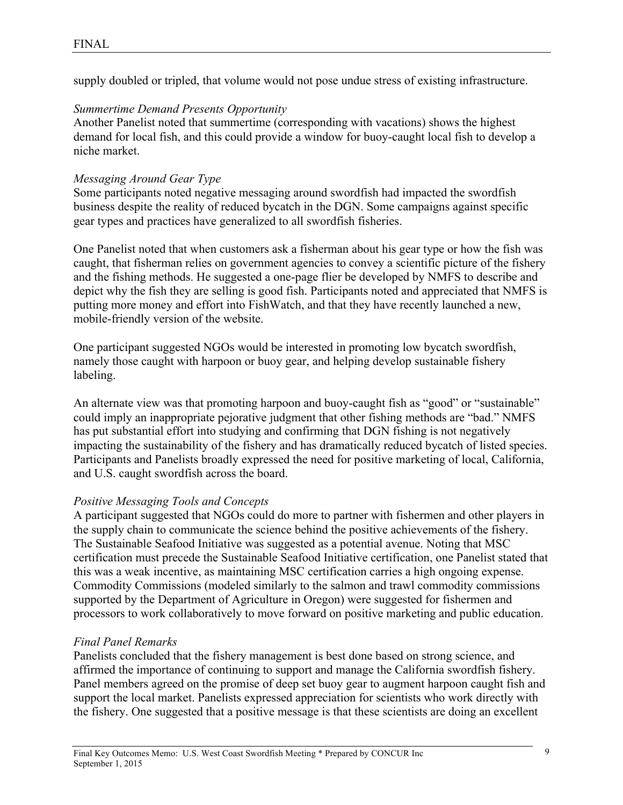supply doubled or tripled, that volume would not pose undue stress of existing infrastructure.

#### *Summertime Demand Presents Opportunity*

Another Panelist noted that summertime (corresponding with vacations) shows the highest demand for local fish, and this could provide a window for buoy-caught local fish to develop a niche market.

#### *Messaging Around Gear Type*

Some participants noted negative messaging around swordfish had impacted the swordfish business despite the reality of reduced bycatch in the DGN. Some campaigns against specific gear types and practices have generalized to all swordfish fisheries.

One Panelist noted that when customers ask a fisherman about his gear type or how the fish was caught, that fisherman relies on government agencies to convey a scientific picture of the fishery and the fishing methods. He suggested a one-page flier be developed by NMFS to describe and depict why the fish they are selling is good fish. Participants noted and appreciated that NMFS is putting more money and effort into FishWatch, and that they have recently launched a new, mobile-friendly version of the website.

One participant suggested NGOs would be interested in promoting low bycatch swordfish, namely those caught with harpoon or buoy gear, and helping develop sustainable fishery labeling.

An alternate view was that promoting harpoon and buoy-caught fish as "good" or "sustainable" could imply an inappropriate pejorative judgment that other fishing methods are "bad." NMFS has put substantial effort into studying and confirming that DGN fishing is not negatively impacting the sustainability of the fishery and has dramatically reduced bycatch of listed species. Participants and Panelists broadly expressed the need for positive marketing of local, California, and U.S. caught swordfish across the board.

#### *Positive Messaging Tools and Concepts*

A participant suggested that NGOs could do more to partner with fishermen and other players in the supply chain to communicate the science behind the positive achievements of the fishery. The Sustainable Seafood Initiative was suggested as a potential avenue. Noting that MSC certification must precede the Sustainable Seafood Initiative certification, one Panelist stated that this was a weak incentive, as maintaining MSC certification carries a high ongoing expense. Commodity Commissions (modeled similarly to the salmon and trawl commodity commissions supported by the Department of Agriculture in Oregon) were suggested for fishermen and processors to work collaboratively to move forward on positive marketing and public education.

#### *Final Panel Remarks*

Panelists concluded that the fishery management is best done based on strong science, and affirmed the importance of continuing to support and manage the California swordfish fishery. Panel members agreed on the promise of deep set buoy gear to augment harpoon caught fish and support the local market. Panelists expressed appreciation for scientists who work directly with the fishery. One suggested that a positive message is that these scientists are doing an excellent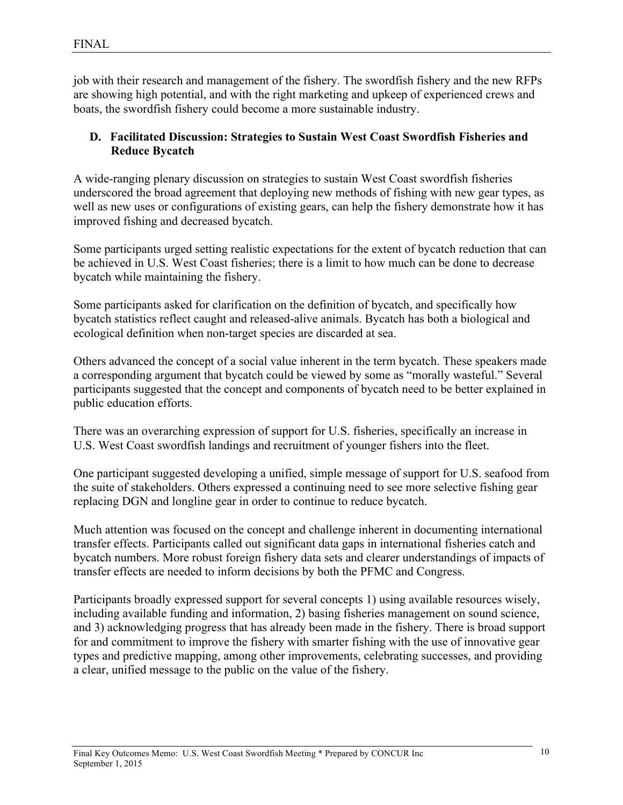job with their research and management of the fishery. The swordfish fishery and the new RFPs are showing high potential, and with the right marketing and upkeep of experienced crews and boats, the swordfish fishery could become a more sustainable industry.

## **D. Facilitated Discussion: Strategies to Sustain West Coast Swordfish Fisheries and Reduce Bycatch**

A wide-ranging plenary discussion on strategies to sustain West Coast swordfish fisheries underscored the broad agreement that deploying new methods of fishing with new gear types, as well as new uses or configurations of existing gears, can help the fishery demonstrate how it has improved fishing and decreased bycatch.

Some participants urged setting realistic expectations for the extent of bycatch reduction that can be achieved in U.S. West Coast fisheries; there is a limit to how much can be done to decrease bycatch while maintaining the fishery.

Some participants asked for clarification on the definition of bycatch, and specifically how bycatch statistics reflect caught and released-alive animals. Bycatch has both a biological and ecological definition when non-target species are discarded at sea.

Others advanced the concept of a social value inherent in the term bycatch. These speakers made a corresponding argument that bycatch could be viewed by some as "morally wasteful." Several participants suggested that the concept and components of bycatch need to be better explained in public education efforts.

There was an overarching expression of support for U.S. fisheries, specifically an increase in U.S. West Coast swordfish landings and recruitment of younger fishers into the fleet.

One participant suggested developing a unified, simple message of support for U.S. seafood from the suite of stakeholders. Others expressed a continuing need to see more selective fishing gear replacing DGN and longline gear in order to continue to reduce bycatch.

Much attention was focused on the concept and challenge inherent in documenting international transfer effects. Participants called out significant data gaps in international fisheries catch and bycatch numbers. More robust foreign fishery data sets and clearer understandings of impacts of transfer effects are needed to inform decisions by both the PFMC and Congress.

Participants broadly expressed support for several concepts 1) using available resources wisely, including available funding and information, 2) basing fisheries management on sound science, and 3) acknowledging progress that has already been made in the fishery. There is broad support for and commitment to improve the fishery with smarter fishing with the use of innovative gear types and predictive mapping, among other improvements, celebrating successes, and providing a clear, unified message to the public on the value of the fishery.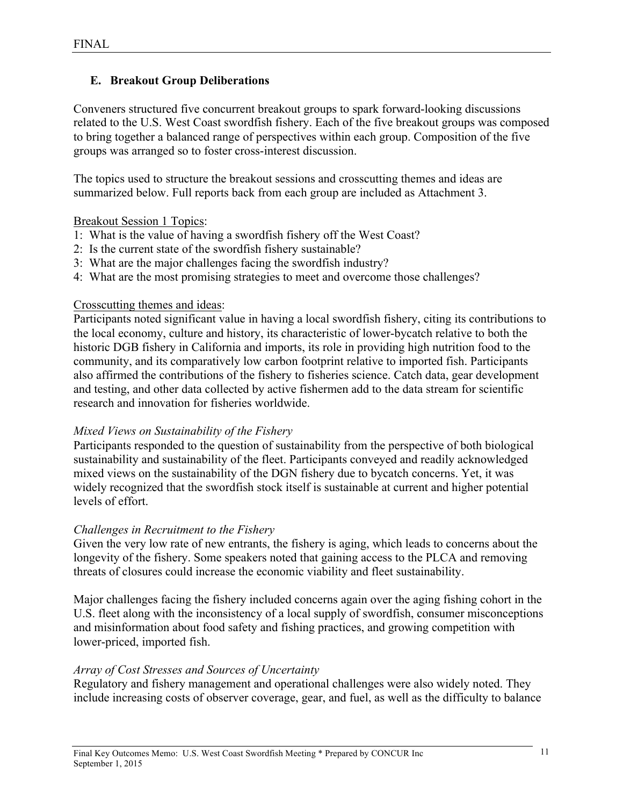## **E. Breakout Group Deliberations**

Conveners structured five concurrent breakout groups to spark forward-looking discussions related to the U.S. West Coast swordfish fishery. Each of the five breakout groups was composed to bring together a balanced range of perspectives within each group. Composition of the five groups was arranged so to foster cross-interest discussion.

The topics used to structure the breakout sessions and crosscutting themes and ideas are summarized below. Full reports back from each group are included as Attachment 3.

## Breakout Session 1 Topics:

- 1: What is the value of having a swordfish fishery off the West Coast?
- 2: Is the current state of the swordfish fishery sustainable?
- 3: What are the major challenges facing the swordfish industry?
- 4: What are the most promising strategies to meet and overcome those challenges?

## Crosscutting themes and ideas:

Participants noted significant value in having a local swordfish fishery, citing its contributions to the local economy, culture and history, its characteristic of lower-bycatch relative to both the historic DGB fishery in California and imports, its role in providing high nutrition food to the community, and its comparatively low carbon footprint relative to imported fish. Participants also affirmed the contributions of the fishery to fisheries science. Catch data, gear development and testing, and other data collected by active fishermen add to the data stream for scientific research and innovation for fisheries worldwide.

## *Mixed Views on Sustainability of the Fishery*

Participants responded to the question of sustainability from the perspective of both biological sustainability and sustainability of the fleet. Participants conveyed and readily acknowledged mixed views on the sustainability of the DGN fishery due to bycatch concerns. Yet, it was widely recognized that the swordfish stock itself is sustainable at current and higher potential levels of effort.

## *Challenges in Recruitment to the Fishery*

Given the very low rate of new entrants, the fishery is aging, which leads to concerns about the longevity of the fishery. Some speakers noted that gaining access to the PLCA and removing threats of closures could increase the economic viability and fleet sustainability.

Major challenges facing the fishery included concerns again over the aging fishing cohort in the U.S. fleet along with the inconsistency of a local supply of swordfish, consumer misconceptions and misinformation about food safety and fishing practices, and growing competition with lower-priced, imported fish.

## *Array of Cost Stresses and Sources of Uncertainty*

Regulatory and fishery management and operational challenges were also widely noted. They include increasing costs of observer coverage, gear, and fuel, as well as the difficulty to balance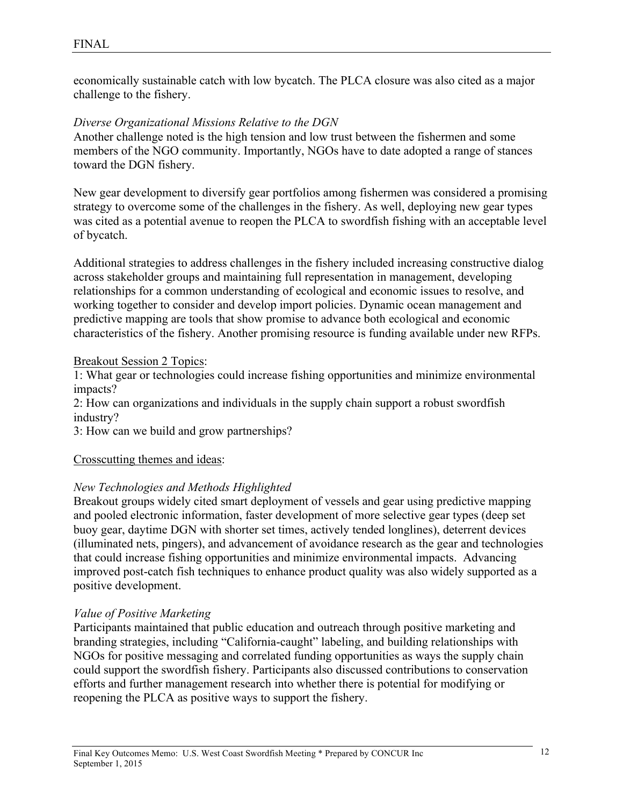economically sustainable catch with low bycatch. The PLCA closure was also cited as a major challenge to the fishery.

#### *Diverse Organizational Missions Relative to the DGN*

Another challenge noted is the high tension and low trust between the fishermen and some members of the NGO community. Importantly, NGOs have to date adopted a range of stances toward the DGN fishery.

New gear development to diversify gear portfolios among fishermen was considered a promising strategy to overcome some of the challenges in the fishery. As well, deploying new gear types was cited as a potential avenue to reopen the PLCA to swordfish fishing with an acceptable level of bycatch.

Additional strategies to address challenges in the fishery included increasing constructive dialog across stakeholder groups and maintaining full representation in management, developing relationships for a common understanding of ecological and economic issues to resolve, and working together to consider and develop import policies. Dynamic ocean management and predictive mapping are tools that show promise to advance both ecological and economic characteristics of the fishery. Another promising resource is funding available under new RFPs.

#### Breakout Session 2 Topics:

1: What gear or technologies could increase fishing opportunities and minimize environmental impacts?

2: How can organizations and individuals in the supply chain support a robust swordfish industry?

3: How can we build and grow partnerships?

## Crosscutting themes and ideas:

## *New Technologies and Methods Highlighted*

Breakout groups widely cited smart deployment of vessels and gear using predictive mapping and pooled electronic information, faster development of more selective gear types (deep set buoy gear, daytime DGN with shorter set times, actively tended longlines), deterrent devices (illuminated nets, pingers), and advancement of avoidance research as the gear and technologies that could increase fishing opportunities and minimize environmental impacts. Advancing improved post-catch fish techniques to enhance product quality was also widely supported as a positive development.

## *Value of Positive Marketing*

Participants maintained that public education and outreach through positive marketing and branding strategies, including "California-caught" labeling, and building relationships with NGOs for positive messaging and correlated funding opportunities as ways the supply chain could support the swordfish fishery. Participants also discussed contributions to conservation efforts and further management research into whether there is potential for modifying or reopening the PLCA as positive ways to support the fishery.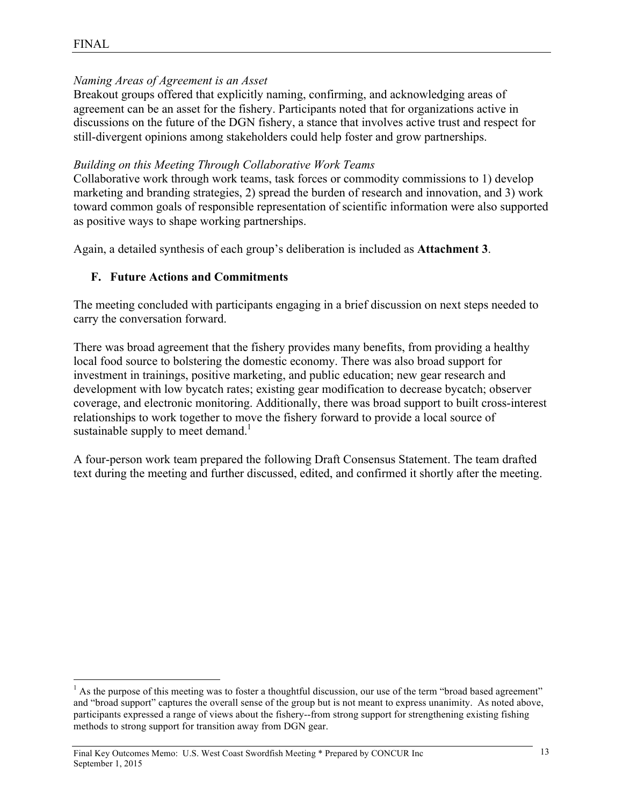## *Naming Areas of Agreement is an Asset*

Breakout groups offered that explicitly naming, confirming, and acknowledging areas of agreement can be an asset for the fishery. Participants noted that for organizations active in discussions on the future of the DGN fishery, a stance that involves active trust and respect for still-divergent opinions among stakeholders could help foster and grow partnerships.

## *Building on this Meeting Through Collaborative Work Teams*

Collaborative work through work teams, task forces or commodity commissions to 1) develop marketing and branding strategies, 2) spread the burden of research and innovation, and 3) work toward common goals of responsible representation of scientific information were also supported as positive ways to shape working partnerships.

Again, a detailed synthesis of each group's deliberation is included as **Attachment 3**.

## **F. Future Actions and Commitments**

The meeting concluded with participants engaging in a brief discussion on next steps needed to carry the conversation forward.

There was broad agreement that the fishery provides many benefits, from providing a healthy local food source to bolstering the domestic economy. There was also broad support for investment in trainings, positive marketing, and public education; new gear research and development with low bycatch rates; existing gear modification to decrease bycatch; observer coverage, and electronic monitoring. Additionally, there was broad support to built cross-interest relationships to work together to move the fishery forward to provide a local source of sustainable supply to meet demand.<sup>1</sup>

A four-person work team prepared the following Draft Consensus Statement. The team drafted text during the meeting and further discussed, edited, and confirmed it shortly after the meeting.

 $<sup>1</sup>$  As the purpose of this meeting was to foster a thoughtful discussion, our use of the term "broad based agreement"</sup> and "broad support" captures the overall sense of the group but is not meant to express unanimity. As noted above, participants expressed a range of views about the fishery--from strong support for strengthening existing fishing methods to strong support for transition away from DGN gear.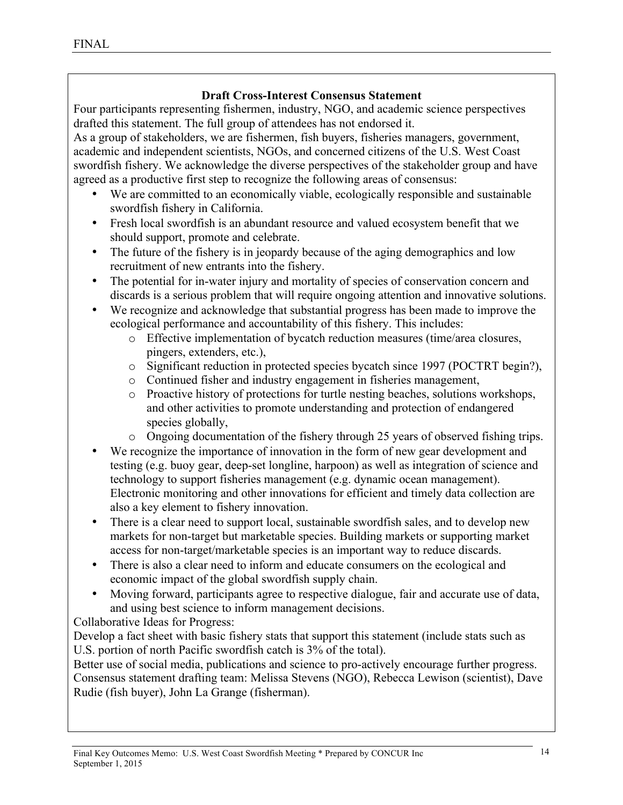## **Draft Cross-Interest Consensus Statement**

Four participants representing fishermen, industry, NGO, and academic science perspectives drafted this statement. The full group of attendees has not endorsed it.

As a group of stakeholders, we are fishermen, fish buyers, fisheries managers, government, academic and independent scientists, NGOs, and concerned citizens of the U.S. West Coast swordfish fishery. We acknowledge the diverse perspectives of the stakeholder group and have agreed as a productive first step to recognize the following areas of consensus:

- We are committed to an economically viable, ecologically responsible and sustainable swordfish fishery in California.
- Fresh local swordfish is an abundant resource and valued ecosystem benefit that we should support, promote and celebrate.
- The future of the fishery is in jeopardy because of the aging demographics and low recruitment of new entrants into the fishery.
- The potential for in-water injury and mortality of species of conservation concern and discards is a serious problem that will require ongoing attention and innovative solutions.
- We recognize and acknowledge that substantial progress has been made to improve the ecological performance and accountability of this fishery. This includes:
	- o Effective implementation of bycatch reduction measures (time/area closures, pingers, extenders, etc.),
	- o Significant reduction in protected species bycatch since 1997 (POCTRT begin?),
	- o Continued fisher and industry engagement in fisheries management,
	- o Proactive history of protections for turtle nesting beaches, solutions workshops, and other activities to promote understanding and protection of endangered species globally,
	- o Ongoing documentation of the fishery through 25 years of observed fishing trips.
- We recognize the importance of innovation in the form of new gear development and testing (e.g. buoy gear, deep-set longline, harpoon) as well as integration of science and technology to support fisheries management (e.g. dynamic ocean management). Electronic monitoring and other innovations for efficient and timely data collection are also a key element to fishery innovation.
- There is a clear need to support local, sustainable swordfish sales, and to develop new markets for non-target but marketable species. Building markets or supporting market access for non-target/marketable species is an important way to reduce discards.
- There is also a clear need to inform and educate consumers on the ecological and economic impact of the global swordfish supply chain.
- Moving forward, participants agree to respective dialogue, fair and accurate use of data, and using best science to inform management decisions.

Collaborative Ideas for Progress:

Develop a fact sheet with basic fishery stats that support this statement (include stats such as U.S. portion of north Pacific swordfish catch is 3% of the total).

Better use of social media, publications and science to pro-actively encourage further progress. Consensus statement drafting team: Melissa Stevens (NGO), Rebecca Lewison (scientist), Dave Rudie (fish buyer), John La Grange (fisherman).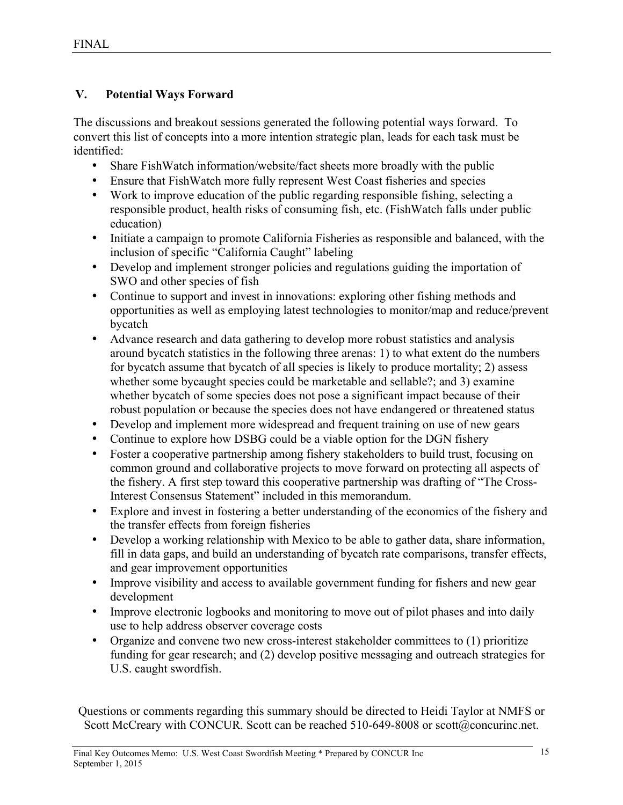## **V. Potential Ways Forward**

The discussions and breakout sessions generated the following potential ways forward. To convert this list of concepts into a more intention strategic plan, leads for each task must be identified:

- Share FishWatch information/website/fact sheets more broadly with the public
- Ensure that FishWatch more fully represent West Coast fisheries and species
- Work to improve education of the public regarding responsible fishing, selecting a responsible product, health risks of consuming fish, etc. (FishWatch falls under public education)
- Initiate a campaign to promote California Fisheries as responsible and balanced, with the inclusion of specific "California Caught" labeling
- Develop and implement stronger policies and regulations guiding the importation of SWO and other species of fish
- Continue to support and invest in innovations: exploring other fishing methods and opportunities as well as employing latest technologies to monitor/map and reduce/prevent bycatch
- Advance research and data gathering to develop more robust statistics and analysis around bycatch statistics in the following three arenas: 1) to what extent do the numbers for bycatch assume that bycatch of all species is likely to produce mortality; 2) assess whether some bycaught species could be marketable and sellable?; and 3) examine whether bycatch of some species does not pose a significant impact because of their robust population or because the species does not have endangered or threatened status
- Develop and implement more widespread and frequent training on use of new gears
- Continue to explore how DSBG could be a viable option for the DGN fishery
- Foster a cooperative partnership among fishery stakeholders to build trust, focusing on common ground and collaborative projects to move forward on protecting all aspects of the fishery. A first step toward this cooperative partnership was drafting of "The Cross-Interest Consensus Statement" included in this memorandum.
- Explore and invest in fostering a better understanding of the economics of the fishery and the transfer effects from foreign fisheries
- Develop a working relationship with Mexico to be able to gather data, share information, fill in data gaps, and build an understanding of bycatch rate comparisons, transfer effects, and gear improvement opportunities
- Improve visibility and access to available government funding for fishers and new gear development
- Improve electronic logbooks and monitoring to move out of pilot phases and into daily use to help address observer coverage costs
- Organize and convene two new cross-interest stakeholder committees to (1) prioritize funding for gear research; and (2) develop positive messaging and outreach strategies for U.S. caught swordfish.

Questions or comments regarding this summary should be directed to Heidi Taylor at NMFS or Scott McCreary with CONCUR. Scott can be reached 510-649-8008 or scott@concurinc.net.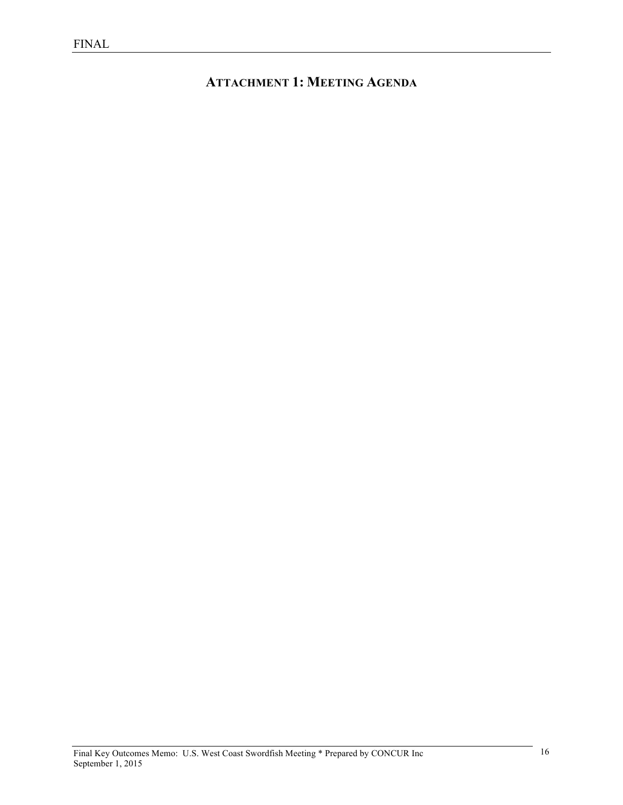# **ATTACHMENT 1: MEETING AGENDA**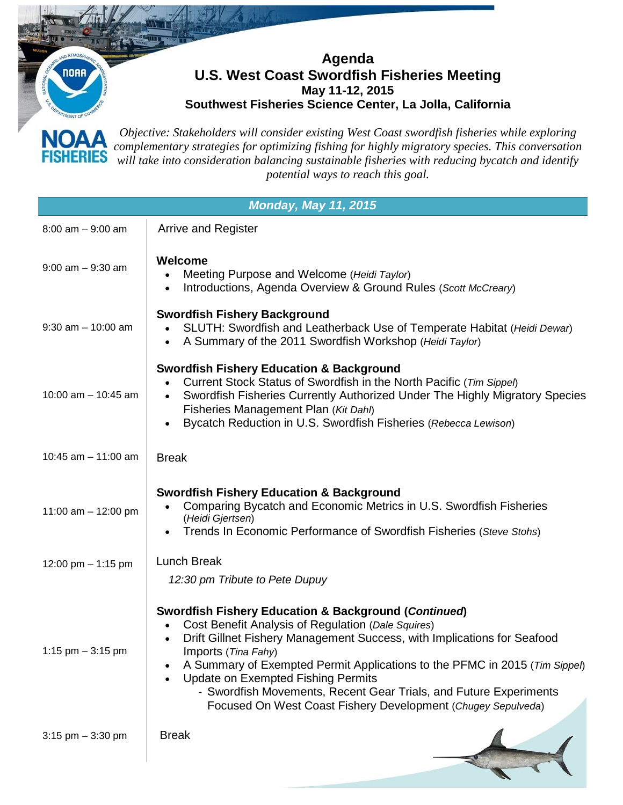**Agenda U.S. West Coast Swordfish Fisheries Meeting May 11-12, 2015** 

**NORR** 

**Southwest Fisheries Science Center, La Jolla, California**

*Objective: Stakeholders will consider existing West Coast swordfish fisheries while exploring*  **NOAA** *complementary strategies for optimizing fishing for highly migratory species. This conversation*  SHERIES *will take into consideration balancing sustainable fisheries with reducing bycatch and identify potential ways to reach this goal.*

| <b>Monday, May 11, 2015</b> |                                                                                                                                                                                                                                                                                                                                                                                                                                                                                                    |  |  |  |
|-----------------------------|----------------------------------------------------------------------------------------------------------------------------------------------------------------------------------------------------------------------------------------------------------------------------------------------------------------------------------------------------------------------------------------------------------------------------------------------------------------------------------------------------|--|--|--|
| $8:00$ am $-9:00$ am        | <b>Arrive and Register</b>                                                                                                                                                                                                                                                                                                                                                                                                                                                                         |  |  |  |
| $9:00$ am $-9:30$ am        | Welcome<br>Meeting Purpose and Welcome (Heidi Taylor)<br>Introductions, Agenda Overview & Ground Rules (Scott McCreary)<br>$\bullet$                                                                                                                                                                                                                                                                                                                                                               |  |  |  |
| $9:30$ am $-10:00$ am       | <b>Swordfish Fishery Background</b><br>SLUTH: Swordfish and Leatherback Use of Temperate Habitat (Heidi Dewar)<br>A Summary of the 2011 Swordfish Workshop (Heidi Taylor)<br>$\bullet$                                                                                                                                                                                                                                                                                                             |  |  |  |
| 10:00 am $-$ 10:45 am       | <b>Swordfish Fishery Education &amp; Background</b><br>Current Stock Status of Swordfish in the North Pacific (Tim Sippel)<br>Swordfish Fisheries Currently Authorized Under The Highly Migratory Species<br>$\bullet$<br>Fisheries Management Plan (Kit Dahl)<br>Bycatch Reduction in U.S. Swordfish Fisheries (Rebecca Lewison)                                                                                                                                                                  |  |  |  |
| 10:45 am $-$ 11:00 am       | <b>Break</b>                                                                                                                                                                                                                                                                                                                                                                                                                                                                                       |  |  |  |
| 11:00 am $-$ 12:00 pm       | <b>Swordfish Fishery Education &amp; Background</b><br>Comparing Bycatch and Economic Metrics in U.S. Swordfish Fisheries<br>(Heidi Gjertsen)<br>Trends In Economic Performance of Swordfish Fisheries (Steve Stohs)                                                                                                                                                                                                                                                                               |  |  |  |
| 12:00 pm $-$ 1:15 pm        | <b>Lunch Break</b><br>12:30 pm Tribute to Pete Dupuy                                                                                                                                                                                                                                                                                                                                                                                                                                               |  |  |  |
| 1:15 pm $-$ 3:15 pm         | Swordfish Fishery Education & Background (Continued)<br>Cost Benefit Analysis of Regulation (Dale Squires)<br>Drift Gillnet Fishery Management Success, with Implications for Seafood<br>$\bullet$<br>Imports ( <i>Tina Fahy</i> )<br>A Summary of Exempted Permit Applications to the PFMC in 2015 (Tim Sippel)<br><b>Update on Exempted Fishing Permits</b><br>- Swordfish Movements, Recent Gear Trials, and Future Experiments<br>Focused On West Coast Fishery Development (Chugey Sepulveda) |  |  |  |
| $3:15$ pm $-3:30$ pm        | <b>Break</b>                                                                                                                                                                                                                                                                                                                                                                                                                                                                                       |  |  |  |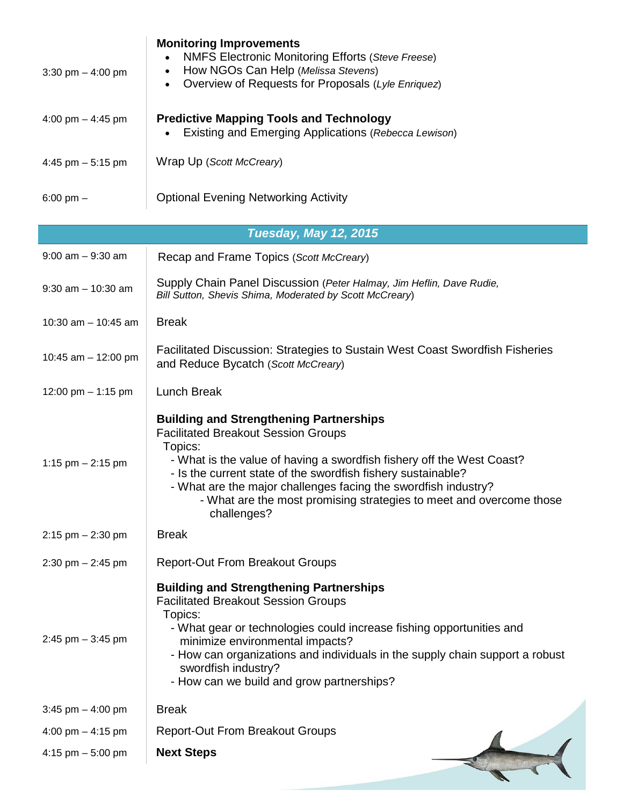| 3:30 pm $-$ 4:00 pm          | <b>Monitoring Improvements</b><br><b>NMFS Electronic Monitoring Efforts (Steve Freese)</b><br>How NGOs Can Help (Melissa Stevens)<br>$\bullet$<br>Overview of Requests for Proposals (Lyle Enriquez)<br>$\bullet$                                                                                                                                                                                        |  |  |  |  |
|------------------------------|----------------------------------------------------------------------------------------------------------------------------------------------------------------------------------------------------------------------------------------------------------------------------------------------------------------------------------------------------------------------------------------------------------|--|--|--|--|
| 4:00 pm $-$ 4:45 pm          | <b>Predictive Mapping Tools and Technology</b><br>Existing and Emerging Applications (Rebecca Lewison)                                                                                                                                                                                                                                                                                                   |  |  |  |  |
| 4:45 pm $-5:15$ pm           | Wrap Up (Scott McCreary)                                                                                                                                                                                                                                                                                                                                                                                 |  |  |  |  |
| $6:00 \text{ pm} -$          | <b>Optional Evening Networking Activity</b>                                                                                                                                                                                                                                                                                                                                                              |  |  |  |  |
| <b>Tuesday, May 12, 2015</b> |                                                                                                                                                                                                                                                                                                                                                                                                          |  |  |  |  |
| $9:00$ am $-9:30$ am         | Recap and Frame Topics (Scott McCreary)                                                                                                                                                                                                                                                                                                                                                                  |  |  |  |  |
| $9:30$ am $-10:30$ am        | Supply Chain Panel Discussion (Peter Halmay, Jim Heflin, Dave Rudie,<br>Bill Sutton, Shevis Shima, Moderated by Scott McCreary)                                                                                                                                                                                                                                                                          |  |  |  |  |
| 10:30 am $-$ 10:45 am        | <b>Break</b>                                                                                                                                                                                                                                                                                                                                                                                             |  |  |  |  |
| 10:45 am $-$ 12:00 pm        | Facilitated Discussion: Strategies to Sustain West Coast Swordfish Fisheries<br>and Reduce Bycatch (Scott McCreary)                                                                                                                                                                                                                                                                                      |  |  |  |  |
| 12:00 pm $-$ 1:15 pm         | <b>Lunch Break</b>                                                                                                                                                                                                                                                                                                                                                                                       |  |  |  |  |
| 1:15 pm $-$ 2:15 pm          | <b>Building and Strengthening Partnerships</b><br><b>Facilitated Breakout Session Groups</b><br>Topics:<br>- What is the value of having a swordfish fishery off the West Coast?<br>- Is the current state of the swordfish fishery sustainable?<br>- What are the major challenges facing the swordfish industry?<br>- What are the most promising strategies to meet and overcome those<br>challenges? |  |  |  |  |
| $2:15$ pm $-2:30$ pm         | <b>Break</b>                                                                                                                                                                                                                                                                                                                                                                                             |  |  |  |  |
| $2:30$ pm $- 2:45$ pm        | <b>Report-Out From Breakout Groups</b>                                                                                                                                                                                                                                                                                                                                                                   |  |  |  |  |
| 2:45 pm $-$ 3:45 pm          | <b>Building and Strengthening Partnerships</b><br><b>Facilitated Breakout Session Groups</b><br>Topics:<br>- What gear or technologies could increase fishing opportunities and<br>minimize environmental impacts?<br>- How can organizations and individuals in the supply chain support a robust<br>swordfish industry?<br>- How can we build and grow partnerships?                                   |  |  |  |  |
| 3:45 pm $-$ 4:00 pm          | <b>Break</b>                                                                                                                                                                                                                                                                                                                                                                                             |  |  |  |  |
| 4:00 pm $-$ 4:15 pm          | <b>Report-Out From Breakout Groups</b>                                                                                                                                                                                                                                                                                                                                                                   |  |  |  |  |
| 4:15 pm $-5:00$ pm           | <b>Next Steps</b>                                                                                                                                                                                                                                                                                                                                                                                        |  |  |  |  |
|                              |                                                                                                                                                                                                                                                                                                                                                                                                          |  |  |  |  |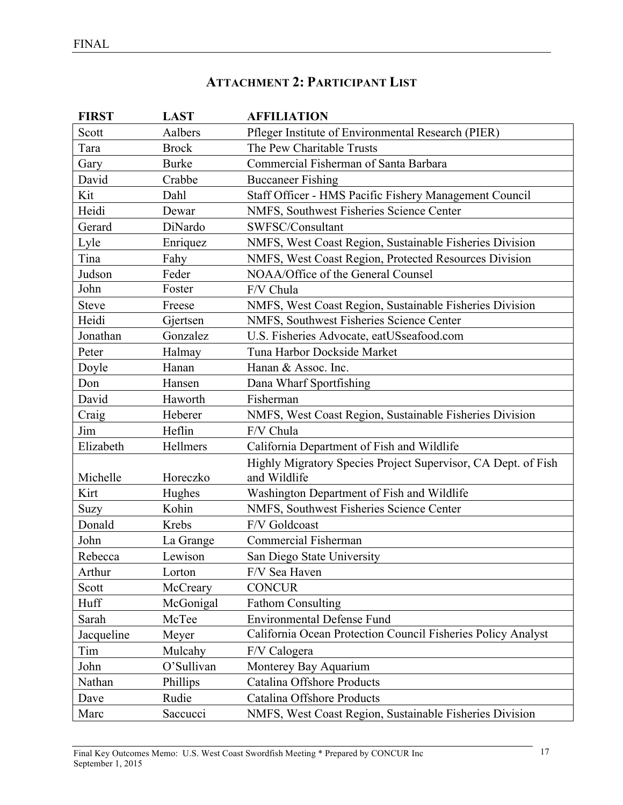# **ATTACHMENT 2: PARTICIPANT LIST**

| <b>FIRST</b> | <b>LAST</b>  | <b>AFFILIATION</b>                                                            |
|--------------|--------------|-------------------------------------------------------------------------------|
| Scott        | Aalbers      | Pfleger Institute of Environmental Research (PIER)                            |
| Tara         | <b>Brock</b> | The Pew Charitable Trusts                                                     |
| Gary         | <b>Burke</b> | Commercial Fisherman of Santa Barbara                                         |
| David        | Crabbe       | <b>Buccaneer Fishing</b>                                                      |
| Kit          | Dahl         | Staff Officer - HMS Pacific Fishery Management Council                        |
| Heidi        | Dewar        | NMFS, Southwest Fisheries Science Center                                      |
| Gerard       | DiNardo      | SWFSC/Consultant                                                              |
| Lyle         | Enriquez     | NMFS, West Coast Region, Sustainable Fisheries Division                       |
| Tina         | Fahy         | NMFS, West Coast Region, Protected Resources Division                         |
| Judson       | Feder        | NOAA/Office of the General Counsel                                            |
| John         | Foster       | F/V Chula                                                                     |
| <b>Steve</b> | Freese       | NMFS, West Coast Region, Sustainable Fisheries Division                       |
| Heidi        | Gjertsen     | NMFS, Southwest Fisheries Science Center                                      |
| Jonathan     | Gonzalez     | U.S. Fisheries Advocate, eatUSseafood.com                                     |
| Peter        | Halmay       | Tuna Harbor Dockside Market                                                   |
| Doyle        | Hanan        | Hanan & Assoc. Inc.                                                           |
| Don          | Hansen       | Dana Wharf Sportfishing                                                       |
| David        | Haworth      | Fisherman                                                                     |
| Craig        | Heberer      | NMFS, West Coast Region, Sustainable Fisheries Division                       |
| Jim          | Heflin       | F/V Chula                                                                     |
| Elizabeth    | Hellmers     | California Department of Fish and Wildlife                                    |
| Michelle     | Horeczko     | Highly Migratory Species Project Supervisor, CA Dept. of Fish<br>and Wildlife |
| Kirt         | Hughes       | Washington Department of Fish and Wildlife                                    |
| Suzy         | Kohin        | NMFS, Southwest Fisheries Science Center                                      |
| Donald       | Krebs        | F/V Goldcoast                                                                 |
| John         | La Grange    | Commercial Fisherman                                                          |
| Rebecca      | Lewison      | San Diego State University                                                    |
| Arthur       | Lorton       | F/V Sea Haven                                                                 |
| Scott        | McCreary     | <b>CONCUR</b>                                                                 |
| Huff         | McGonigal    | <b>Fathom Consulting</b>                                                      |
| Sarah        | McTee        | <b>Environmental Defense Fund</b>                                             |
| Jacqueline   | Meyer        | California Ocean Protection Council Fisheries Policy Analyst                  |
| Tim          | Mulcahy      | F/V Calogera                                                                  |
| John         | O'Sullivan   | Monterey Bay Aquarium                                                         |
| Nathan       | Phillips     | Catalina Offshore Products                                                    |
| Dave         | Rudie        | Catalina Offshore Products                                                    |
| Marc         | Saccucci     | NMFS, West Coast Region, Sustainable Fisheries Division                       |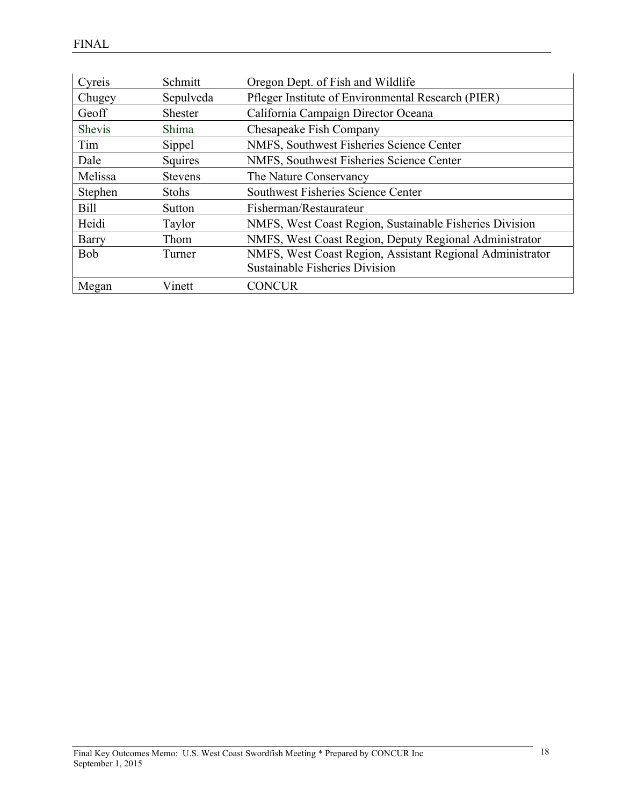| Cyreis       | Schmitt        | Oregon Dept. of Fish and Wildlife                         |
|--------------|----------------|-----------------------------------------------------------|
| Chugey       | Sepulveda      | Pfleger Institute of Environmental Research (PIER)        |
| Geoff        | <b>Shester</b> | California Campaign Director Oceana                       |
| Shevis       | Shima          | Chesapeake Fish Company                                   |
| Tim          | Sippel         | NMFS, Southwest Fisheries Science Center                  |
| Dale         | Squires        | NMFS, Southwest Fisheries Science Center                  |
| Melissa      | <b>Stevens</b> | The Nature Conservancy                                    |
| Stephen      | <b>Stohs</b>   | Southwest Fisheries Science Center                        |
| <b>Bill</b>  | Sutton         | Fisherman/Restaurateur                                    |
| Heidi        | Taylor         | NMFS, West Coast Region, Sustainable Fisheries Division   |
| <b>Barry</b> | Thom           | NMFS, West Coast Region, Deputy Regional Administrator    |
| <b>Bob</b>   | Turner         | NMFS, West Coast Region, Assistant Regional Administrator |
|              |                | <b>Sustainable Fisheries Division</b>                     |
| Megan        | Vinett         | <b>CONCUR</b>                                             |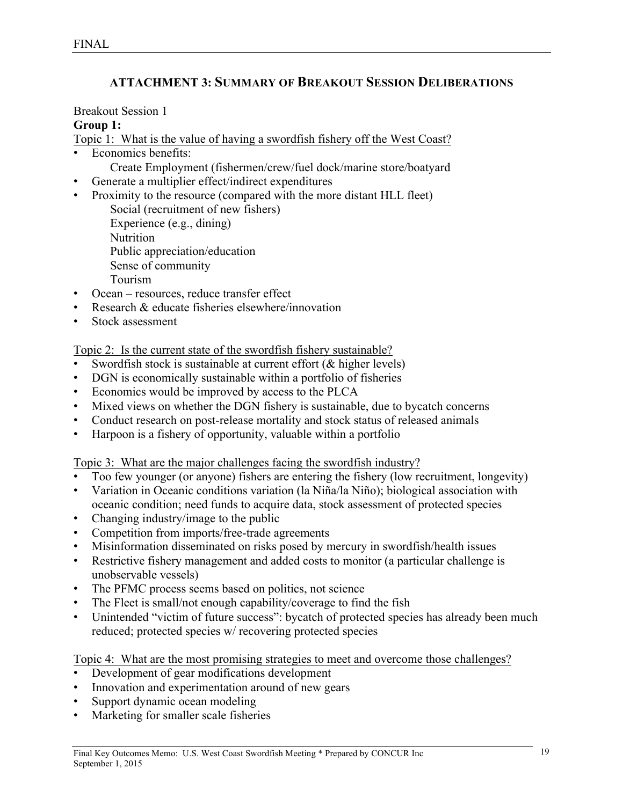# **ATTACHMENT 3: SUMMARY OF BREAKOUT SESSION DELIBERATIONS**

#### Breakout Session 1

#### **Group 1:**

Topic 1: What is the value of having a swordfish fishery off the West Coast?

- Economics benefits:
	- Create Employment (fishermen/crew/fuel dock/marine store/boatyard
- Generate a multiplier effect/indirect expenditures
- Proximity to the resource (compared with the more distant HLL fleet) Social (recruitment of new fishers) Experience (e.g., dining) Nutrition Public appreciation/education Sense of community Tourism • Ocean – resources, reduce transfer effect
- 
- Research & educate fisheries elsewhere/innovation
- Stock assessment

Topic 2: Is the current state of the swordfish fishery sustainable?

- Swordfish stock is sustainable at current effort  $(\&$  higher levels)
- DGN is economically sustainable within a portfolio of fisheries
- Economics would be improved by access to the PLCA
- Mixed views on whether the DGN fishery is sustainable, due to bycatch concerns
- Conduct research on post-release mortality and stock status of released animals
- Harpoon is a fishery of opportunity, valuable within a portfolio

Topic 3: What are the major challenges facing the swordfish industry?

- Too few younger (or anyone) fishers are entering the fishery (low recruitment, longevity)
- Variation in Oceanic conditions variation (la Niña/la Niño); biological association with oceanic condition; need funds to acquire data, stock assessment of protected species
- Changing industry/image to the public
- Competition from imports/free-trade agreements
- Misinformation disseminated on risks posed by mercury in swordfish/health issues
- Restrictive fishery management and added costs to monitor (a particular challenge is unobservable vessels)
- The PFMC process seems based on politics, not science
- The Fleet is small/not enough capability/coverage to find the fish
- Unintended "victim of future success": bycatch of protected species has already been much reduced; protected species w/ recovering protected species

- Development of gear modifications development
- Innovation and experimentation around of new gears
- Support dynamic ocean modeling
- Marketing for smaller scale fisheries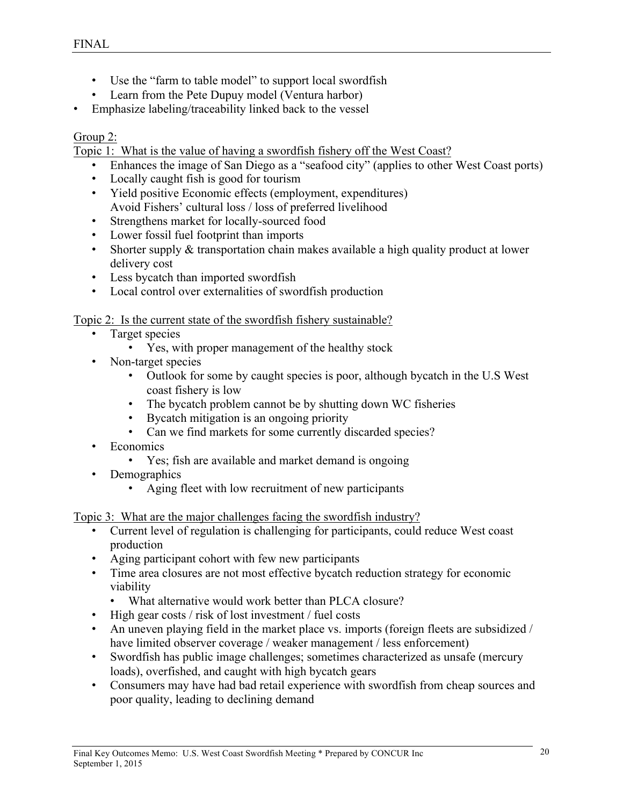- Use the "farm to table model" to support local swordfish
- Learn from the Pete Dupuy model (Ventura harbor)
- Emphasize labeling/traceability linked back to the vessel

#### Group 2:

Topic 1: What is the value of having a swordfish fishery off the West Coast?

- Enhances the image of San Diego as a "seafood city" (applies to other West Coast ports)
- Locally caught fish is good for tourism
- Yield positive Economic effects (employment, expenditures) Avoid Fishers' cultural loss / loss of preferred livelihood
- Strengthens market for locally-sourced food
- Lower fossil fuel footprint than imports
- Shorter supply & transportation chain makes available a high quality product at lower delivery cost
- Less bycatch than imported swordfish
- Local control over externalities of swordfish production

Topic 2: Is the current state of the swordfish fishery sustainable?

- Target species
	- Yes, with proper management of the healthy stock
- Non-target species
	- Outlook for some by caught species is poor, although bycatch in the U.S West coast fishery is low
	- The bycatch problem cannot be by shutting down WC fisheries
	- Bycatch mitigation is an ongoing priority
	- Can we find markets for some currently discarded species?
- Economics
	- Yes; fish are available and market demand is ongoing
- Demographics
	- Aging fleet with low recruitment of new participants

Topic 3: What are the major challenges facing the swordfish industry?

- Current level of regulation is challenging for participants, could reduce West coast production
- Aging participant cohort with few new participants
- Time area closures are not most effective bycatch reduction strategy for economic viability
	- What alternative would work better than PLCA closure?
- High gear costs / risk of lost investment / fuel costs
- An uneven playing field in the market place vs. imports (foreign fleets are subsidized / have limited observer coverage / weaker management / less enforcement)
- Swordfish has public image challenges; sometimes characterized as unsafe (mercury loads), overfished, and caught with high bycatch gears
- Consumers may have had bad retail experience with swordfish from cheap sources and poor quality, leading to declining demand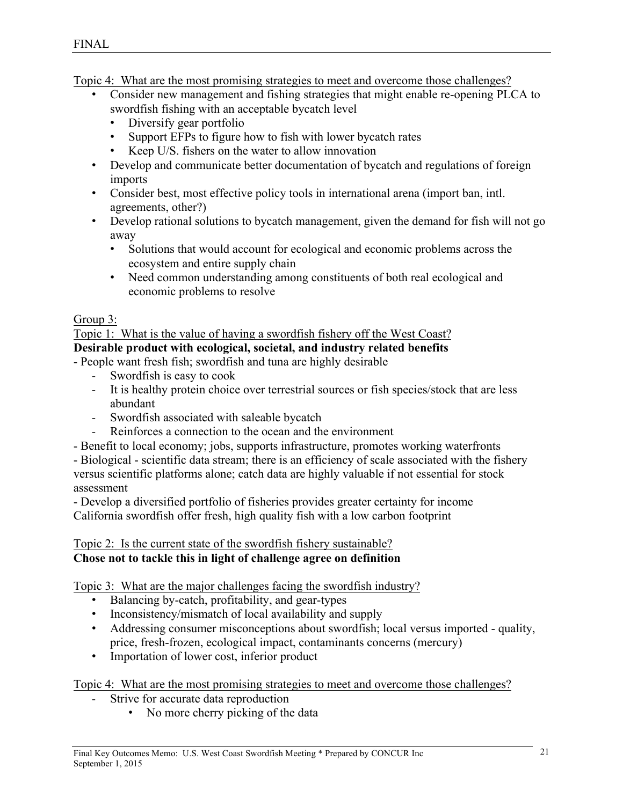Topic 4: What are the most promising strategies to meet and overcome those challenges?

- Consider new management and fishing strategies that might enable re-opening PLCA to swordfish fishing with an acceptable bycatch level
	- Diversify gear portfolio
	- Support EFPs to figure how to fish with lower bycatch rates
	- Keep U/S. fishers on the water to allow innovation
- Develop and communicate better documentation of bycatch and regulations of foreign imports
- Consider best, most effective policy tools in international arena (import ban, intl. agreements, other?)
- Develop rational solutions to bycatch management, given the demand for fish will not go away
	- Solutions that would account for ecological and economic problems across the ecosystem and entire supply chain
	- Need common understanding among constituents of both real ecological and economic problems to resolve

## Group 3:

Topic 1: What is the value of having a swordfish fishery off the West Coast? **Desirable product with ecological, societal, and industry related benefits**

- People want fresh fish; swordfish and tuna are highly desirable

- Swordfish is easy to cook
- It is healthy protein choice over terrestrial sources or fish species/stock that are less abundant
- Swordfish associated with saleable bycatch
- Reinforces a connection to the ocean and the environment
- Benefit to local economy; jobs, supports infrastructure, promotes working waterfronts

- Biological - scientific data stream; there is an efficiency of scale associated with the fishery versus scientific platforms alone; catch data are highly valuable if not essential for stock assessment

- Develop a diversified portfolio of fisheries provides greater certainty for income California swordfish offer fresh, high quality fish with a low carbon footprint

#### Topic 2: Is the current state of the swordfish fishery sustainable? **Chose not to tackle this in light of challenge agree on definition**

Topic 3: What are the major challenges facing the swordfish industry?

- Balancing by-catch, profitability, and gear-types
- Inconsistency/mismatch of local availability and supply
- Addressing consumer misconceptions about swordfish; local versus imported quality, price, fresh-frozen, ecological impact, contaminants concerns (mercury)
- Importation of lower cost, inferior product

- Strive for accurate data reproduction
	- No more cherry picking of the data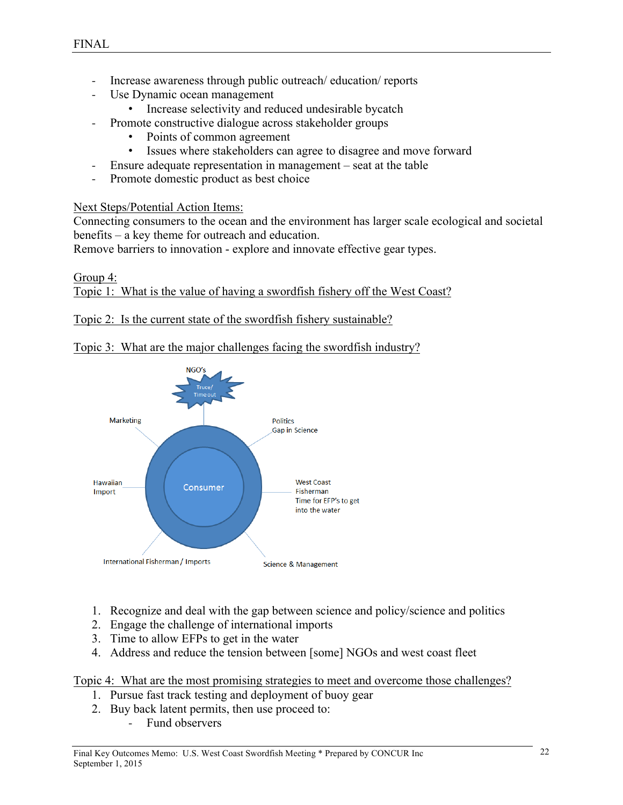- Increase awareness through public outreach/ education/ reports
- Use Dynamic ocean management
	- Increase selectivity and reduced undesirable bycatch
- Promote constructive dialogue across stakeholder groups
	- Points of common agreement
	- Issues where stakeholders can agree to disagree and move forward
	- Ensure adequate representation in management seat at the table
- Promote domestic product as best choice

Next Steps/Potential Action Items:

Connecting consumers to the ocean and the environment has larger scale ecological and societal benefits – a key theme for outreach and education.

Remove barriers to innovation - explore and innovate effective gear types.

#### Group 4: Topic 1: What is the value of having a swordfish fishery off the West Coast?

Topic 2: Is the current state of the swordfish fishery sustainable?

## Topic 3: What are the major challenges facing the swordfish industry?



- 1. Recognize and deal with the gap between science and policy/science and politics
- 2. Engage the challenge of international imports
- 3. Time to allow EFPs to get in the water
- 4. Address and reduce the tension between [some] NGOs and west coast fleet

- 1. Pursue fast track testing and deployment of buoy gear
- 2. Buy back latent permits, then use proceed to:
	- Fund observers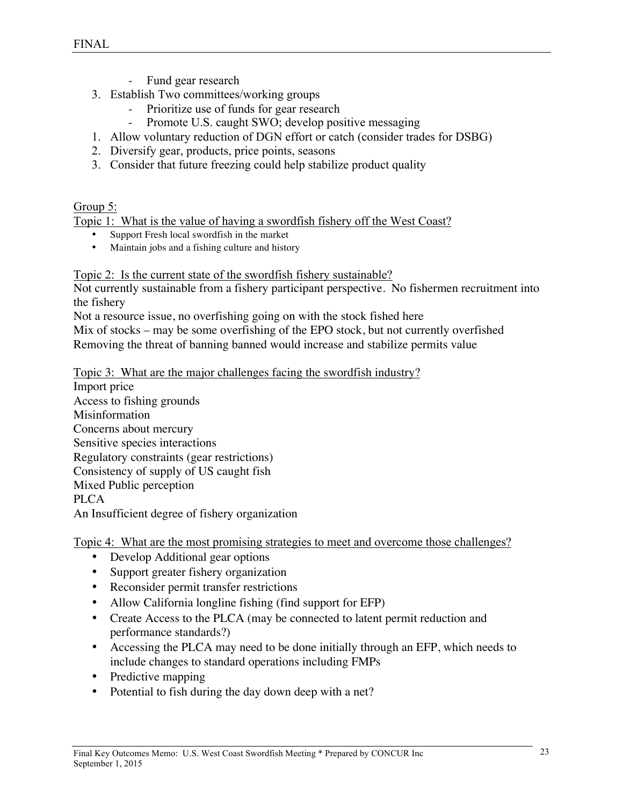- Fund gear research
- 3. Establish Two committees/working groups
	- Prioritize use of funds for gear research
	- Promote U.S. caught SWO; develop positive messaging
- 1. Allow voluntary reduction of DGN effort or catch (consider trades for DSBG)
- 2. Diversify gear, products, price points, seasons
- 3. Consider that future freezing could help stabilize product quality

#### Group 5:

Topic 1: What is the value of having a swordfish fishery off the West Coast?

- Support Fresh local swordfish in the market
- Maintain jobs and a fishing culture and history

#### Topic 2: Is the current state of the swordfish fishery sustainable?

Not currently sustainable from a fishery participant perspective. No fishermen recruitment into the fishery

Not a resource issue, no overfishing going on with the stock fished here

Mix of stocks – may be some overfishing of the EPO stock, but not currently overfished Removing the threat of banning banned would increase and stabilize permits value

Topic 3: What are the major challenges facing the swordfish industry?

Import price Access to fishing grounds Misinformation Concerns about mercury Sensitive species interactions Regulatory constraints (gear restrictions) Consistency of supply of US caught fish Mixed Public perception **PLCA** An Insufficient degree of fishery organization

- Develop Additional gear options
- Support greater fishery organization
- Reconsider permit transfer restrictions
- Allow California longline fishing (find support for EFP)
- Create Access to the PLCA (may be connected to latent permit reduction and performance standards?)
- Accessing the PLCA may need to be done initially through an EFP, which needs to include changes to standard operations including FMPs
- Predictive mapping
- Potential to fish during the day down deep with a net?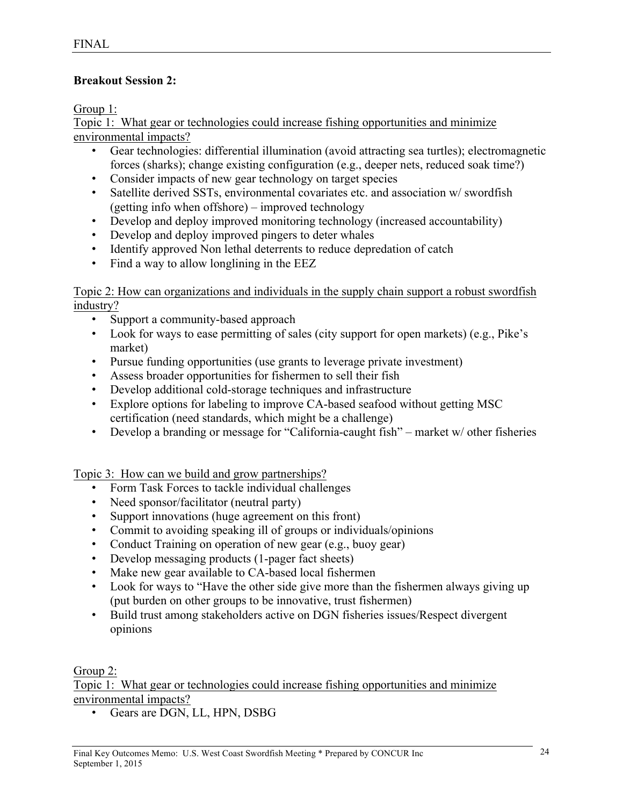## **Breakout Session 2:**

Group 1:

Topic 1: What gear or technologies could increase fishing opportunities and minimize environmental impacts?

- Gear technologies: differential illumination (avoid attracting sea turtles); electromagnetic forces (sharks); change existing configuration (e.g., deeper nets, reduced soak time?)
- Consider impacts of new gear technology on target species
- Satellite derived SSTs, environmental covariates etc. and association w/ swordfish (getting info when offshore) – improved technology
- Develop and deploy improved monitoring technology (increased accountability)
- Develop and deploy improved pingers to deter whales
- Identify approved Non lethal deterrents to reduce depredation of catch
- Find a way to allow longlining in the EEZ

Topic 2: How can organizations and individuals in the supply chain support a robust swordfish industry?

- Support a community-based approach
- Look for ways to ease permitting of sales (city support for open markets) (e.g., Pike's market)
- Pursue funding opportunities (use grants to leverage private investment)
- Assess broader opportunities for fishermen to sell their fish
- Develop additional cold-storage techniques and infrastructure
- Explore options for labeling to improve CA-based seafood without getting MSC certification (need standards, which might be a challenge)
- Develop a branding or message for "California-caught fish" market w/ other fisheries

Topic 3: How can we build and grow partnerships?

- Form Task Forces to tackle individual challenges
- Need sponsor/facilitator (neutral party)
- Support innovations (huge agreement on this front)
- Commit to avoiding speaking ill of groups or individuals/opinions
- Conduct Training on operation of new gear (e.g., buoy gear)
- Develop messaging products (1-pager fact sheets)
- Make new gear available to CA-based local fishermen
- Look for ways to "Have the other side give more than the fishermen always giving up (put burden on other groups to be innovative, trust fishermen)
- Build trust among stakeholders active on DGN fisheries issues/Respect divergent opinions

Group 2:

Topic 1: What gear or technologies could increase fishing opportunities and minimize environmental impacts?

• Gears are DGN, LL, HPN, DSBG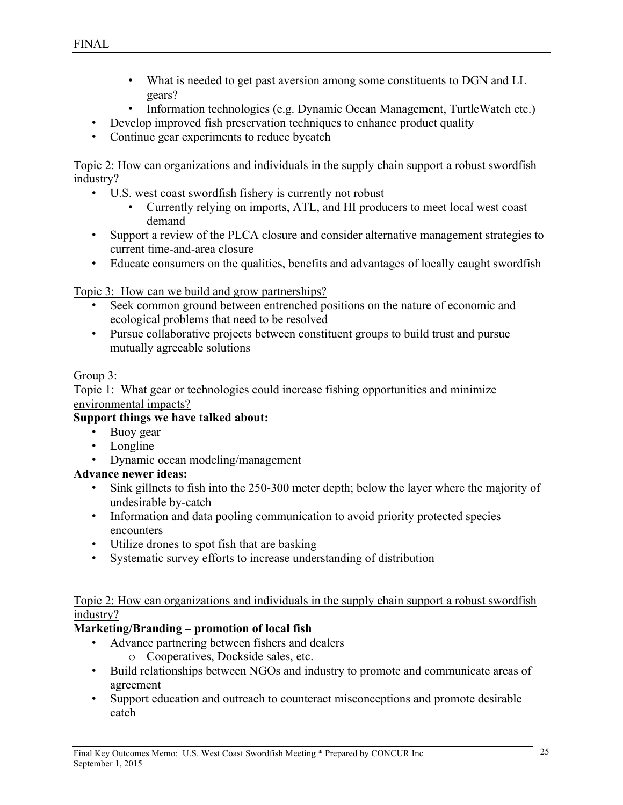- What is needed to get past aversion among some constituents to DGN and LL gears?
- Information technologies (e.g. Dynamic Ocean Management, TurtleWatch etc.)
- Develop improved fish preservation techniques to enhance product quality
- Continue gear experiments to reduce bycatch

Topic 2: How can organizations and individuals in the supply chain support a robust swordfish industry?

- U.S. west coast swordfish fishery is currently not robust
	- Currently relying on imports, ATL, and HI producers to meet local west coast demand
- Support a review of the PLCA closure and consider alternative management strategies to current time-and-area closure
- Educate consumers on the qualities, benefits and advantages of locally caught swordfish

Topic 3: How can we build and grow partnerships?

- Seek common ground between entrenched positions on the nature of economic and ecological problems that need to be resolved
- Pursue collaborative projects between constituent groups to build trust and pursue mutually agreeable solutions

## Group 3:

Topic 1: What gear or technologies could increase fishing opportunities and minimize environmental impacts?

## **Support things we have talked about:**

- Buoy gear
- **Longline**
- Dynamic ocean modeling/management

# **Advance newer ideas:**

- Sink gillnets to fish into the 250-300 meter depth; below the layer where the majority of undesirable by-catch
- Information and data pooling communication to avoid priority protected species encounters
- Utilize drones to spot fish that are basking
- Systematic survey efforts to increase understanding of distribution

## Topic 2: How can organizations and individuals in the supply chain support a robust swordfish industry?

# **Marketing/Branding – promotion of local fish**

- Advance partnering between fishers and dealers
	- o Cooperatives, Dockside sales, etc.
- Build relationships between NGOs and industry to promote and communicate areas of agreement
- Support education and outreach to counteract misconceptions and promote desirable catch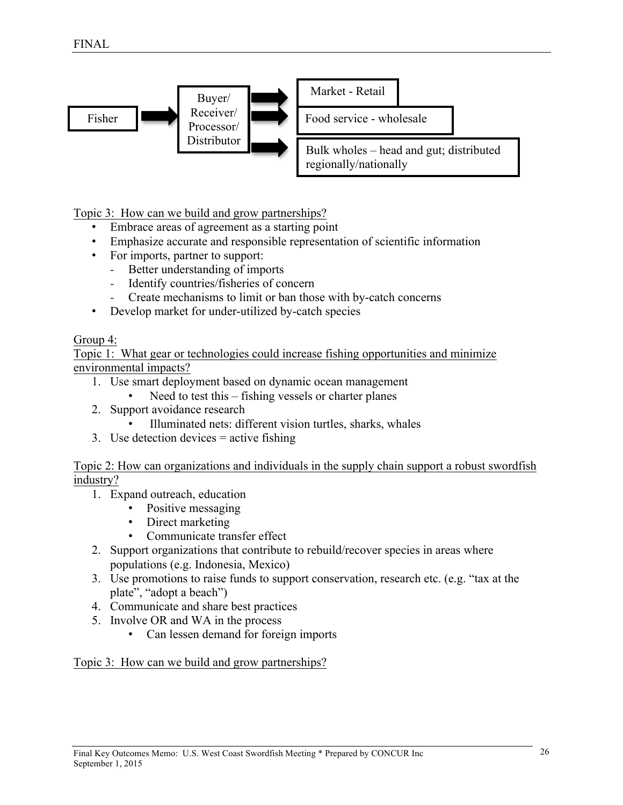

Topic 3: How can we build and grow partnerships?

- Embrace areas of agreement as a starting point
- Emphasize accurate and responsible representation of scientific information
- For imports, partner to support:
	- Better understanding of imports
	- Identify countries/fisheries of concern
	- Create mechanisms to limit or ban those with by-catch concerns
- Develop market for under-utilized by-catch species

#### Group 4:

Topic 1: What gear or technologies could increase fishing opportunities and minimize environmental impacts?

- 1. Use smart deployment based on dynamic ocean management
	- Need to test this fishing vessels or charter planes
- 2. Support avoidance research
	- Illuminated nets: different vision turtles, sharks, whales
- 3. Use detection devices = active fishing

Topic 2: How can organizations and individuals in the supply chain support a robust swordfish industry?

- 1. Expand outreach, education
	- Positive messaging
	- Direct marketing
	- Communicate transfer effect
- 2. Support organizations that contribute to rebuild/recover species in areas where populations (e.g. Indonesia, Mexico)
- 3. Use promotions to raise funds to support conservation, research etc. (e.g. "tax at the plate", "adopt a beach")
- 4. Communicate and share best practices
- 5. Involve OR and WA in the process
	- Can lessen demand for foreign imports

## Topic 3: How can we build and grow partnerships?